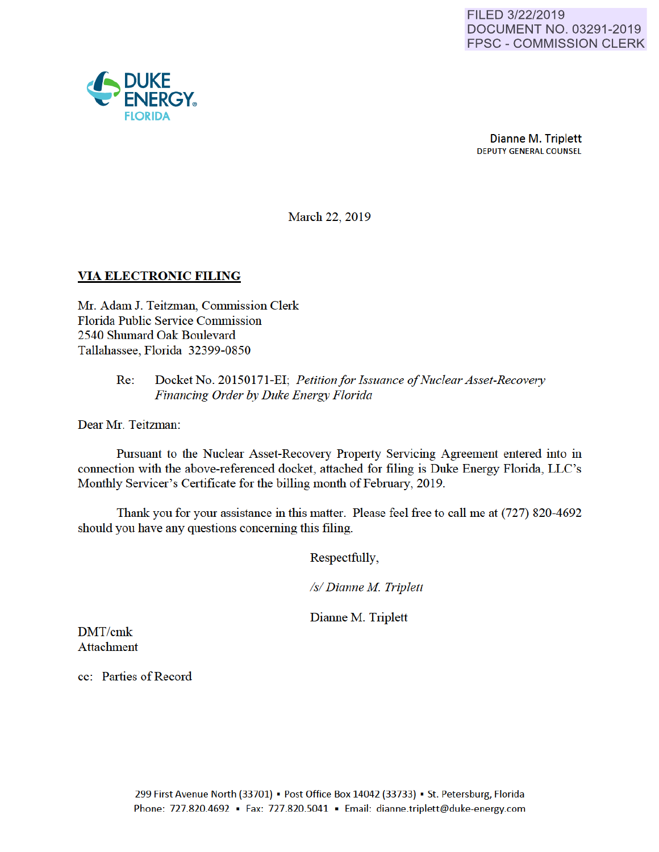

March 22, 2019

# VIA ELECTRONIC FILING

Mr. Adam J. Teitzman, Commission Clerk Florida Public Service Commission 2540 Shumard Oak Boulevard Tallahassee, Florida 32399-0850

### Re: Docket No. 20150171-EI; *Petition for Issuance of Nuclear Asset-Recovery Financing Order by Duke Energy Florida*

Dear Mr. Teitzman:

Pursuant to the Nuclear Asset-Recovery Property Servicing Agreement entered into in connection with the above-referenced docket, attached for filing is Duke Energy Florida, LLC's Monthly Servicer's Certificate for the billing month of February, 2019.

Thank you for your assistance in this matter. Please feel free to call me at (727) 820-4692 should you have any questions conceming this filing.

Respectfully,

*Is/ Dianne M Triplett* 

Dianne M. Triplett

DMT/cmk Attachment

cc: Parties of Record

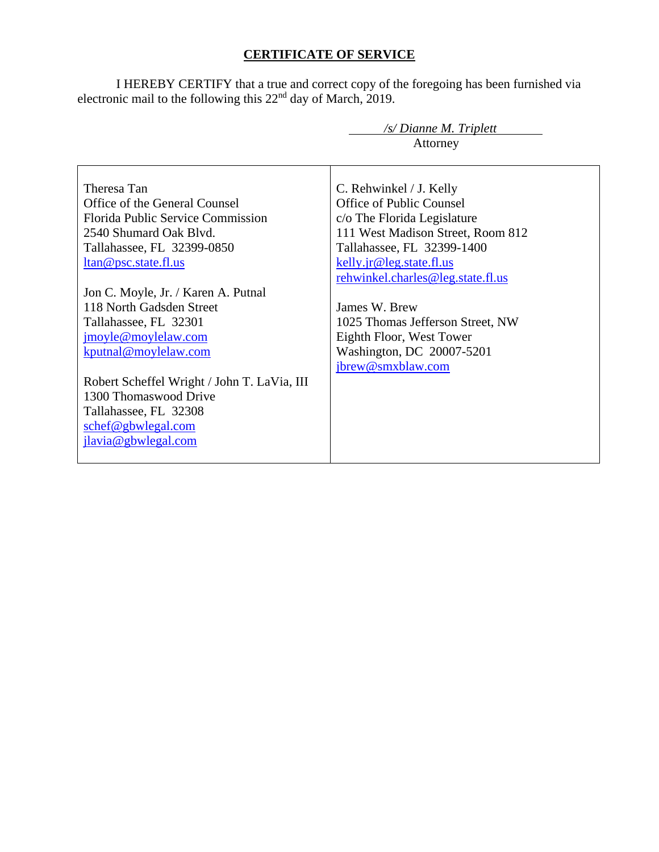# **CERTIFICATE OF SERVICE**

I HEREBY CERTIFY that a true and correct copy of the foregoing has been furnished via electronic mail to the following this  $22<sup>nd</sup>$  day of March, 2019.

|                                             | /s/ Dianne M. Triplett            |  |  |
|---------------------------------------------|-----------------------------------|--|--|
|                                             | Attorney                          |  |  |
|                                             |                                   |  |  |
| Theresa Tan                                 | C. Rehwinkel / J. Kelly           |  |  |
| Office of the General Counsel               | Office of Public Counsel          |  |  |
| Florida Public Service Commission           | c/o The Florida Legislature       |  |  |
| 2540 Shumard Oak Blvd.                      | 111 West Madison Street, Room 812 |  |  |
| Tallahassee, FL 32399-0850                  | Tallahassee, FL 32399-1400        |  |  |
| ltan@psc.state.fl.us                        | kelly.jr@leg.state.fl.us          |  |  |
|                                             | rehwinkel.charles@leg.state.fl.us |  |  |
| Jon C. Moyle, Jr. / Karen A. Putnal         |                                   |  |  |
| 118 North Gadsden Street                    | James W. Brew                     |  |  |
| Tallahassee, FL 32301                       | 1025 Thomas Jefferson Street, NW  |  |  |
| jmoyle@moylelaw.com                         | Eighth Floor, West Tower          |  |  |
| kputnal@moylelaw.com                        | Washington, DC 20007-5201         |  |  |
|                                             | jbrew@smxblaw.com                 |  |  |
| Robert Scheffel Wright / John T. LaVia, III |                                   |  |  |
| 1300 Thomaswood Drive                       |                                   |  |  |
| Tallahassee, FL 32308                       |                                   |  |  |
| schef@gbwlegal.com                          |                                   |  |  |
| jlavia@gbwlegal.com                         |                                   |  |  |
|                                             |                                   |  |  |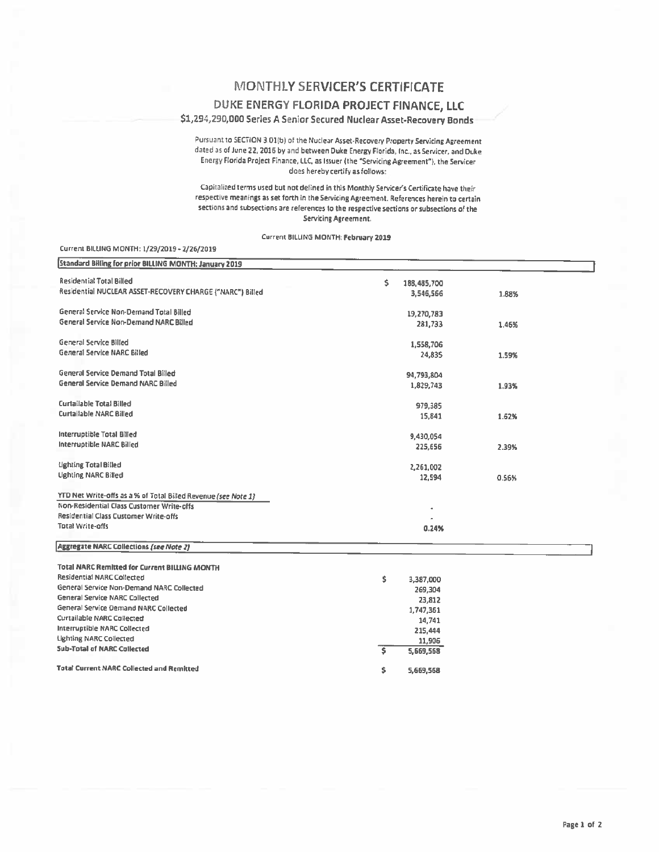## MONTHLY SERVICER'S CERTIFICATE

#### DUKE ENERGY FLORIDA PROJECT FINANCE, LLC

#### \$1,294,290,000 Series A Senior Secured Nuclear Asset-Recovery Bonds

Pursuant to SECTION 3.01(b) of the Nuclear Asset-Recovery Property Servicing Agreement dated as of June 22, 2016 by and between Duke Energy Florida, Inc., as Servicer, and Duke Energy Florida Project Finance, LLC, as Issuer (the "Servicing Agreement"), the Servicer does hereby certify as follows:

Capitalized terms used but not defined in this Monthly Servicer's Certificate have their respective meanings as set forth in the Servicing Agreement. References herein to certain sections and subsections are references to the respective sections or subsections of the Servicing Agreement.

Current BILLING MONTH: February 2019

#### Current BILLING MONTH: 1/29/2019 - 2/26/2019

| <b>Standard Billing for prior BILLING MONTH: January 2019</b>  |                     |       |
|----------------------------------------------------------------|---------------------|-------|
| <b>Residential Total Billed</b>                                | \$<br>188,485,700   |       |
| Residential NUCLEAR ASSET-RECOVERY CHARGE ("NARC") Billed      | 3,546,566           | 1.88% |
|                                                                |                     |       |
| General Service Non-Demand Total Billed                        | 19,270,783          |       |
| General Service Non-Demand NARC Billed                         | 281,733             | 1.46% |
|                                                                |                     |       |
| General Service Billed                                         | 1,558,706           |       |
| General Service NARC Billed                                    | 24,835              | 1.59% |
|                                                                |                     |       |
| General Service Demand Total Billed                            | 94,793,804          |       |
| General Service Demand NARC Billed                             | 1,829,743           | 1.93% |
|                                                                |                     |       |
| Curtailable Total Billed                                       | 979,385             |       |
| <b>Curtailable NARC Billed</b>                                 | 15,841              | 1.62% |
|                                                                |                     |       |
| Interruptible Total Billed                                     | 9,430,054           |       |
| Interruptible NARC Billed                                      | 225,656             | 2.39% |
| Lighting Total Billed                                          |                     |       |
| <b>Lighting NARC Billed</b>                                    | 2,261,002<br>12,594 |       |
|                                                                |                     | 0.56% |
| YTD Net Write-offs as a % of Total Billed Revenue (see Note 1) |                     |       |
| Non-Residential Class Customer Write-offs                      |                     |       |
| Residential Class Customer Write-offs                          |                     |       |
| <b>Total Write-offs</b>                                        | 0.24%               |       |
|                                                                |                     |       |
| <b>Aggregate NARC Collections (see Note 2)</b>                 |                     |       |
| <b>Total NARC Remitted for Current BILLING MONTH</b>           |                     |       |
| <b>Residential NARC Collected</b>                              |                     |       |
| General Service Non-Demand NARC Collected                      | \$<br>3,387,000     |       |
| <b>General Service NARC Collected</b>                          | 269,304             |       |
| General Service Demand NARC Collected                          | 23,812              |       |
| Curtailable NARC Collected                                     | 1,747,361           |       |
| Interruptible NARC Collected                                   | 14,741<br>215,444   |       |
| <b>Lighting NARC Collected</b>                                 | 11,906              |       |
| <b>Sub-Total of NARC Collected</b>                             | \$<br>5,669,568     |       |
|                                                                |                     |       |
| <b>Total Current NARC Collected and Remitted</b>               | \$<br>5,669,568     |       |
|                                                                |                     |       |